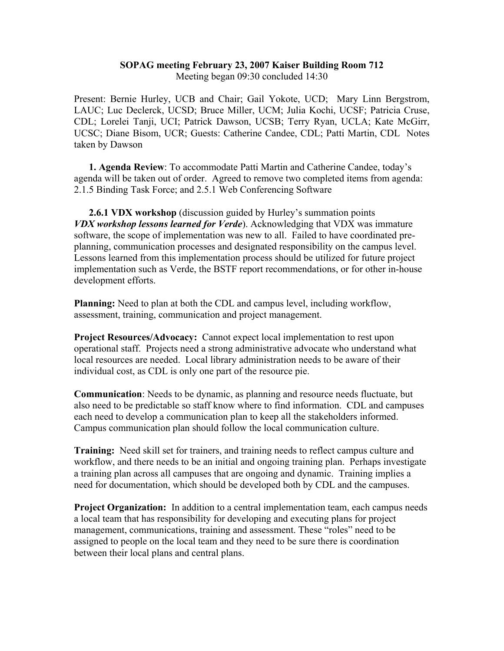## **SOPAG meeting February 23, 2007 Kaiser Building Room 712** Meeting began 09:30 concluded 14:30

Present: Bernie Hurley, UCB and Chair; Gail Yokote, UCD; Mary Linn Bergstrom, LAUC; Luc Declerck, UCSD; Bruce Miller, UCM; Julia Kochi, UCSF; Patricia Cruse, CDL; Lorelei Tanji, UCI; Patrick Dawson, UCSB; Terry Ryan, UCLA; Kate McGirr, UCSC; Diane Bisom, UCR; Guests: Catherine Candee, CDL; Patti Martin, CDL Notes taken by Dawson

**1. Agenda Review**: To accommodate Patti Martin and Catherine Candee, today's agenda will be taken out of order. Agreed to remove two completed items from agenda: 2.1.5 Binding Task Force; and 2.5.1 Web Conferencing Software

**2.6.1 VDX workshop** (discussion guided by Hurley's summation points *VDX workshop lessons learned for Verde*). Acknowledging that VDX was immature software, the scope of implementation was new to all. Failed to have coordinated preplanning, communication processes and designated responsibility on the campus level. Lessons learned from this implementation process should be utilized for future project implementation such as Verde, the BSTF report recommendations, or for other in-house development efforts.

**Planning:** Need to plan at both the CDL and campus level, including workflow, assessment, training, communication and project management.

**Project Resources/Advocacy:** Cannot expect local implementation to rest upon operational staff. Projects need a strong administrative advocate who understand what local resources are needed. Local library administration needs to be aware of their individual cost, as CDL is only one part of the resource pie.

**Communication**: Needs to be dynamic, as planning and resource needs fluctuate, but also need to be predictable so staff know where to find information. CDL and campuses each need to develop a communication plan to keep all the stakeholders informed. Campus communication plan should follow the local communication culture.

**Training:** Need skill set for trainers, and training needs to reflect campus culture and workflow, and there needs to be an initial and ongoing training plan. Perhaps investigate a training plan across all campuses that are ongoing and dynamic. Training implies a need for documentation, which should be developed both by CDL and the campuses.

**Project Organization:** In addition to a central implementation team, each campus needs a local team that has responsibility for developing and executing plans for project management, communications, training and assessment. These "roles" need to be assigned to people on the local team and they need to be sure there is coordination between their local plans and central plans.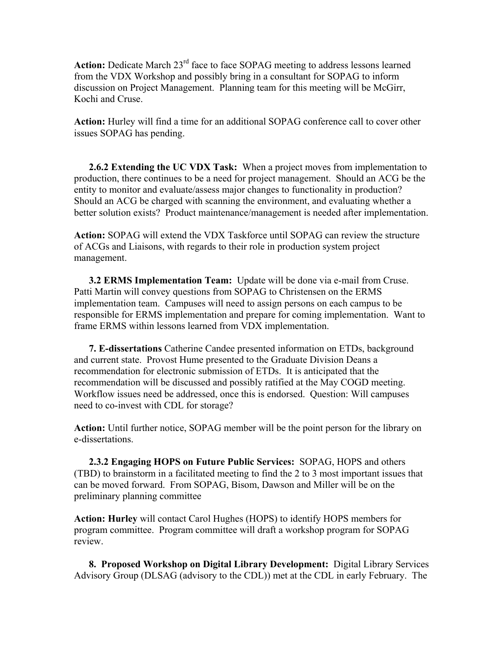Action: Dedicate March 23<sup>rd</sup> face to face SOPAG meeting to address lessons learned from the VDX Workshop and possibly bring in a consultant for SOPAG to inform discussion on Project Management. Planning team for this meeting will be McGirr, Kochi and Cruse.

**Action:** Hurley will find a time for an additional SOPAG conference call to cover other issues SOPAG has pending.

**2.6.2 Extending the UC VDX Task:** When a project moves from implementation to production, there continues to be a need for project management. Should an ACG be the entity to monitor and evaluate/assess major changes to functionality in production? Should an ACG be charged with scanning the environment, and evaluating whether a better solution exists? Product maintenance/management is needed after implementation.

**Action:** SOPAG will extend the VDX Taskforce until SOPAG can review the structure of ACGs and Liaisons, with regards to their role in production system project management.

**3.2 ERMS Implementation Team:** Update will be done via e-mail from Cruse. Patti Martin will convey questions from SOPAG to Christensen on the ERMS implementation team. Campuses will need to assign persons on each campus to be responsible for ERMS implementation and prepare for coming implementation. Want to frame ERMS within lessons learned from VDX implementation.

**7. E-dissertations** Catherine Candee presented information on ETDs, background and current state. Provost Hume presented to the Graduate Division Deans a recommendation for electronic submission of ETDs. It is anticipated that the recommendation will be discussed and possibly ratified at the May COGD meeting. Workflow issues need be addressed, once this is endorsed. Question: Will campuses need to co-invest with CDL for storage?

**Action:** Until further notice, SOPAG member will be the point person for the library on e-dissertations.

**2.3.2 Engaging HOPS on Future Public Services:** SOPAG, HOPS and others (TBD) to brainstorm in a facilitated meeting to find the 2 to 3 most important issues that can be moved forward. From SOPAG, Bisom, Dawson and Miller will be on the preliminary planning committee

**Action: Hurley** will contact Carol Hughes (HOPS) to identify HOPS members for program committee. Program committee will draft a workshop program for SOPAG review.

**8. Proposed Workshop on Digital Library Development:** Digital Library Services Advisory Group (DLSAG (advisory to the CDL)) met at the CDL in early February. The